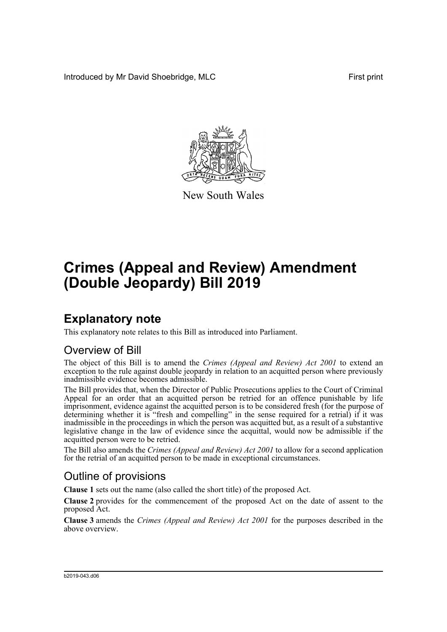Introduced by Mr David Shoebridge, MLC **First print** First print



New South Wales

# **Crimes (Appeal and Review) Amendment (Double Jeopardy) Bill 2019**

## **Explanatory note**

This explanatory note relates to this Bill as introduced into Parliament.

### Overview of Bill

The object of this Bill is to amend the *Crimes (Appeal and Review) Act 2001* to extend an exception to the rule against double jeopardy in relation to an acquitted person where previously inadmissible evidence becomes admissible.

The Bill provides that, when the Director of Public Prosecutions applies to the Court of Criminal Appeal for an order that an acquitted person be retried for an offence punishable by life imprisonment, evidence against the acquitted person is to be considered fresh (for the purpose of determining whether it is "fresh and compelling" in the sense required for a retrial) if it was inadmissible in the proceedings in which the person was acquitted but, as a result of a substantive legislative change in the law of evidence since the acquittal, would now be admissible if the acquitted person were to be retried.

The Bill also amends the *Crimes (Appeal and Review) Act 2001* to allow for a second application for the retrial of an acquitted person to be made in exceptional circumstances.

### Outline of provisions

**Clause 1** sets out the name (also called the short title) of the proposed Act.

**Clause 2** provides for the commencement of the proposed Act on the date of assent to the proposed Act.

**Clause 3** amends the *Crimes (Appeal and Review) Act 2001* for the purposes described in the above overview.

#### b2019-043.d06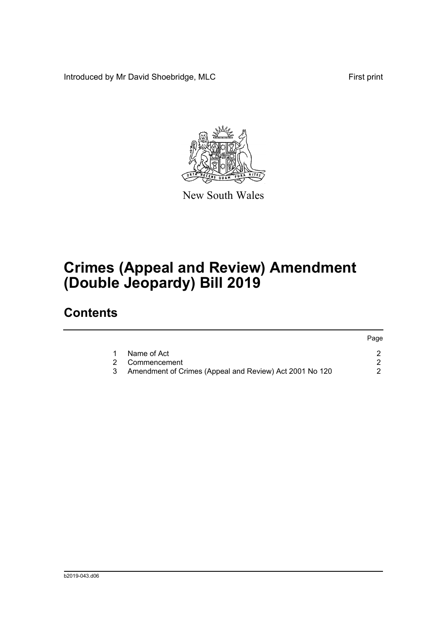Introduced by Mr David Shoebridge, MLC First print



New South Wales

# **Crimes (Appeal and Review) Amendment (Double Jeopardy) Bill 2019**

## **Contents**

|              |                                                           | Page |
|--------------|-----------------------------------------------------------|------|
| $\mathbf{1}$ | Name of Act                                               |      |
|              | 2 Commencement                                            |      |
|              | 3 Amendment of Crimes (Appeal and Review) Act 2001 No 120 |      |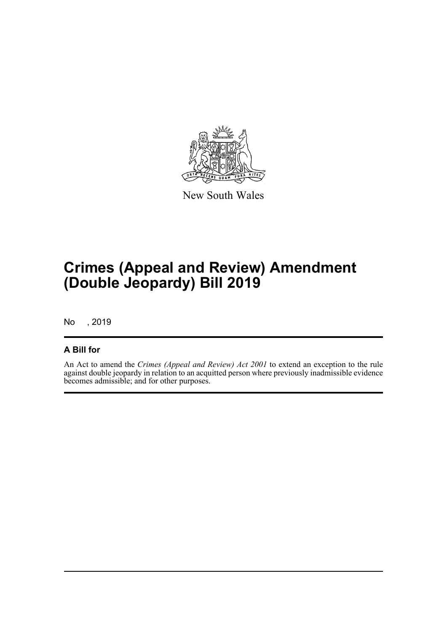

New South Wales

## **Crimes (Appeal and Review) Amendment (Double Jeopardy) Bill 2019**

No , 2019

### **A Bill for**

An Act to amend the *Crimes (Appeal and Review) Act 2001* to extend an exception to the rule against double jeopardy in relation to an acquitted person where previously inadmissible evidence becomes admissible; and for other purposes.